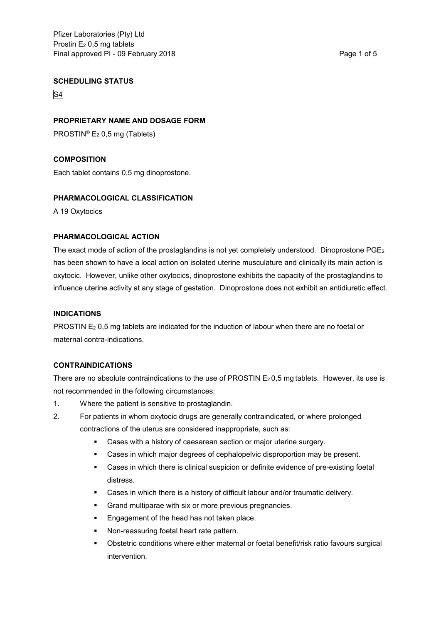#### **SCHEDULING STATUS**

S4

#### **PROPRIETARY NAME AND DOSAGE FORM**

PROSTIN® E<sup>2</sup> 0,5 mg (Tablets)

## **COMPOSITION**

Each tablet contains 0,5 mg dinoprostone.

#### **PHARMACOLOGICAL CLASSIFICATION**

A 19 Oxytocics

#### **PHARMACOLOGICAL ACTION**

The exact mode of action of the prostaglandins is not yet completely understood. Dinoprostone PGE<sup>2</sup> has been shown to have a local action on isolated uterine musculature and clinically its main action is oxytocic. However, unlike other oxytocics, dinoprostone exhibits the capacity of the prostaglandins to influence uterine activity at any stage of gestation. Dinoprostone does not exhibit an antidiuretic effect.

#### **INDICATIONS**

PROSTIN E<sub>2</sub> 0,5 mg tablets are indicated for the induction of labour when there are no foetal or maternal contra-indications.

## **CONTRAINDICATIONS**

There are no absolute contraindications to the use of PROSTIN  $E<sub>2</sub> 0.5$  mg tablets. However, its use is not recommended in the following circumstances:

- 1. Where the patient is sensitive to prostaglandin.
- 2. For patients in whom oxytocic drugs are generally contraindicated, or where prolonged contractions of the uterus are considered inappropriate, such as:
	- Cases with a history of caesarean section or major uterine surgery.
	- **Cases in which major degrees of cephalopelvic disproportion may be present.**
	- Cases in which there is clinical suspicion or definite evidence of pre-existing foetal distress.
	- Cases in which there is a history of difficult labour and/or traumatic delivery.
	- **Grand multiparae with six or more previous pregnancies.**
	- Engagement of the head has not taken place.
	- Non-reassuring foetal heart rate pattern.
	- Obstetric conditions where either maternal or foetal benefit/risk ratio favours surgical intervention.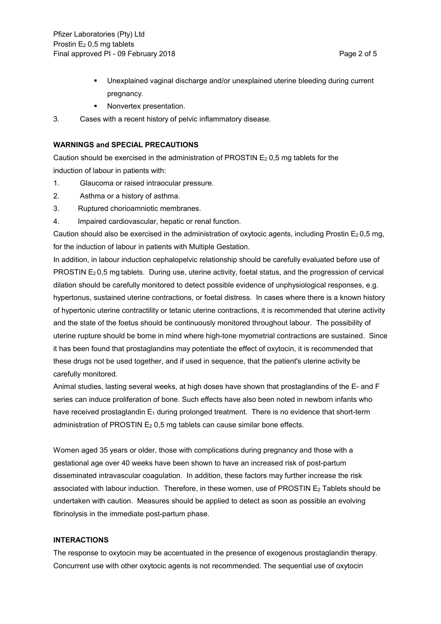- Unexplained vaginal discharge and/or unexplained uterine bleeding during current pregnancy.
- Nonvertex presentation.
- 3. Cases with a recent history of pelvic inflammatory disease.

#### **WARNINGS and SPECIAL PRECAUTIONS**

Caution should be exercised in the administration of PROSTIN  $E_2$  0,5 mg tablets for the induction of labour in patients with:

- 1. Glaucoma or raised intraocular pressure.
- 2. Asthma or a history of asthma.
- 3. Ruptured chorioamniotic membranes.
- 4. Impaired cardiovascular, hepatic or renal function.

Caution should also be exercised in the administration of oxytocic agents, including Prostin  $E_2 0.5$  mg, for the induction of labour in patients with Multiple Gestation.

In addition, in labour induction cephalopelvic relationship should be carefully evaluated before use of PROSTIN E<sup>2</sup> 0,5 mg tablets. During use, uterine activity, foetal status, and the progression of cervical dilation should be carefully monitored to detect possible evidence of unphysiological responses, e.g. hypertonus, sustained uterine contractions, or foetal distress. In cases where there is a known history of hypertonic uterine contractility or tetanic uterine contractions, it is recommended that uterine activity and the state of the foetus should be continuously monitored throughout labour. The possibility of uterine rupture should be borne in mind where high-tone myometrial contractions are sustained. Since it has been found that prostaglandins may potentiate the effect of oxytocin, it is recommended that these drugs not be used together, and if used in sequence, that the patient's uterine activity be carefully monitored.

Animal studies, lasting several weeks, at high doses have shown that prostaglandins of the E- and F series can induce proliferation of bone. Such effects have also been noted in newborn infants who have received prostaglandin  $E_1$  during prolonged treatment. There is no evidence that short-term administration of PROSTIN  $E_2$  0,5 mg tablets can cause similar bone effects.

Women aged 35 years or older, those with complications during pregnancy and those with a gestational age over 40 weeks have been shown to have an increased risk of post-partum disseminated intravascular coagulation. In addition, these factors may further increase the risk associated with labour induction. Therefore, in these women, use of PROSTIN E<sub>2</sub> Tablets should be undertaken with caution. Measures should be applied to detect as soon as possible an evolving fibrinolysis in the immediate post-partum phase.

#### **INTERACTIONS**

The response to oxytocin may be accentuated in the presence of exogenous prostaglandin therapy. Concurrent use with other oxytocic agents is not recommended. The sequential use of oxytocin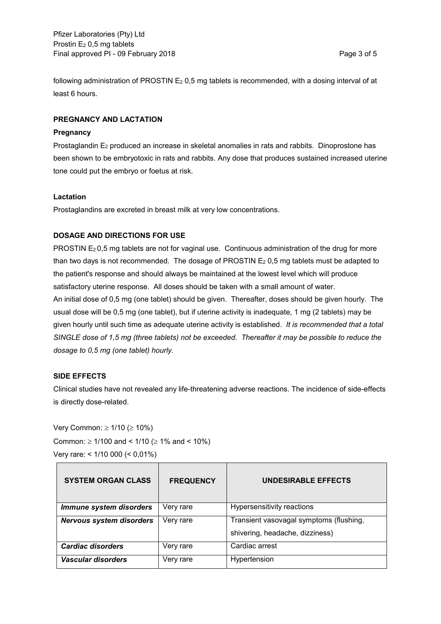following administration of PROSTIN E<sub>2</sub> 0,5 mg tablets is recommended, with a dosing interval of at least 6 hours.

## **PREGNANCY AND LACTATION**

#### **Pregnancy**

Prostaglandin E<sub>2</sub> produced an increase in skeletal anomalies in rats and rabbits. Dinoprostone has been shown to be embryotoxic in rats and rabbits. Any dose that produces sustained increased uterine tone could put the embryo or foetus at risk.

#### **Lactation**

Prostaglandins are excreted in breast milk at very low concentrations.

## **DOSAGE AND DIRECTIONS FOR USE**

PROSTIN  $E_2$  0,5 mg tablets are not for vaginal use. Continuous administration of the drug for more than two days is not recommended. The dosage of PROSTIN E<sup>2</sup> 0,5 mg tablets must be adapted to the patient's response and should always be maintained at the lowest level which will produce satisfactory uterine response. All doses should be taken with a small amount of water. An initial dose of 0,5 mg (one tablet) should be given. Thereafter, doses should be given hourly. The usual dose will be 0,5 mg (one tablet), but if uterine activity is inadequate, 1 mg (2 tablets) may be given hourly until such time as adequate uterine activity is established. *It is recommended that a total SINGLE dose of 1,5 mg (three tablets) not be exceeded. Thereafter it may be possible to reduce the dosage to 0,5 mg (one tablet) hourly.*

#### **SIDE EFFECTS**

Clinical studies have not revealed any life-threatening adverse reactions. The incidence of side-effects is directly dose-related.

Very Common:  $\geq 1/10$  ( $\geq 10\%$ ) Common:  $\geq 1/100$  and <  $1/10$  ( $\geq 1\%$  and <  $10\%$ ) Very rare: < 1/10 000 (< 0,01%)

| <b>SYSTEM ORGAN CLASS</b>       | <b>FREQUENCY</b> | <b>UNDESIRABLE EFFECTS</b>              |
|---------------------------------|------------------|-----------------------------------------|
| Immune system disorders         | Very rare        | Hypersensitivity reactions              |
| <b>Nervous system disorders</b> | Very rare        | Transient vasovagal symptoms (flushing, |
|                                 |                  | shivering, headache, dizziness)         |
| Cardiac disorders               | Very rare        | Cardiac arrest                          |
| <b>Vascular disorders</b>       | Very rare        | Hypertension                            |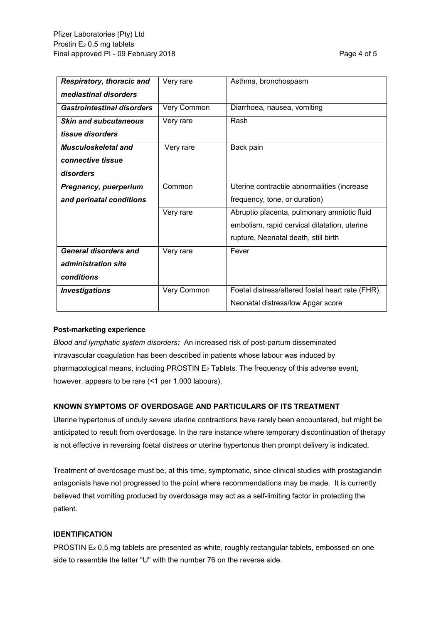| <b>Respiratory, thoracic and</b>  | Very rare   | Asthma, bronchospasm                             |
|-----------------------------------|-------------|--------------------------------------------------|
| mediastinal disorders             |             |                                                  |
| <b>Gastrointestinal disorders</b> | Very Common | Diarrhoea, nausea, vomiting                      |
| <b>Skin and subcutaneous</b>      | Very rare   | Rash                                             |
| tissue disorders                  |             |                                                  |
| Musculoskeletal and               | Very rare   | Back pain                                        |
| connective tissue                 |             |                                                  |
| disorders                         |             |                                                  |
| <b>Pregnancy, puerperium</b>      | Common      | Uterine contractile abnormalities (increase      |
| and perinatal conditions          |             | frequency, tone, or duration)                    |
|                                   | Very rare   | Abruptio placenta, pulmonary amniotic fluid      |
|                                   |             | embolism, rapid cervical dilatation, uterine     |
|                                   |             | rupture, Neonatal death, still birth             |
| <b>General disorders and</b>      | Very rare   | Fever                                            |
| administration site               |             |                                                  |
| conditions                        |             |                                                  |
| <b>Investigations</b>             | Very Common | Foetal distress/altered foetal heart rate (FHR), |
|                                   |             | Neonatal distress/low Apgar score                |

#### **Post-marketing experience**

*Blood and lymphatic system disorders:* An increased risk of post-partum disseminated intravascular coagulation has been described in patients whose labour was induced by pharmacological means, including PROSTIN E<sup>2</sup> Tablets. The frequency of this adverse event, however, appears to be rare (<1 per 1,000 labours).

## **KNOWN SYMPTOMS OF OVERDOSAGE AND PARTICULARS OF ITS TREATMENT**

Uterine hypertonus of unduly severe uterine contractions have rarely been encountered, but might be anticipated to result from overdosage. In the rare instance where temporary discontinuation of therapy is not effective in reversing foetal distress or uterine hypertonus then prompt delivery is indicated.

Treatment of overdosage must be, at this time, symptomatic, since clinical studies with prostaglandin antagonists have not progressed to the point where recommendations may be made. It is currently believed that vomiting produced by overdosage may act as a self-limiting factor in protecting the patient.

#### **IDENTIFICATION**

PROSTIN E<sub>2</sub> 0,5 mg tablets are presented as white, roughly rectangular tablets, embossed on one side to resemble the letter "U" with the number 76 on the reverse side.